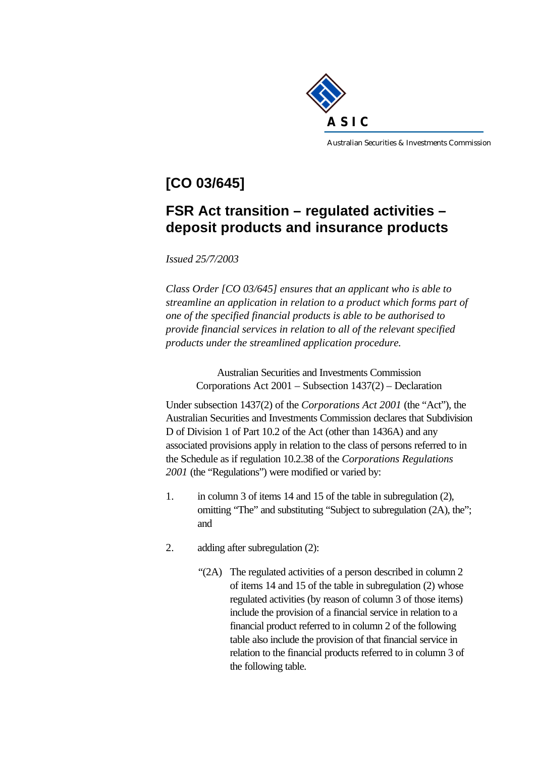

Australian Securities & Investments Commission &

## **[CO 03/645]**

## **FSR Act transition – regulated activities – deposit products and insurance products**

*Issued 25/7/2003*

*Class Order [CO 03/645] ensures that an applicant who is able to streamline an application in relation to a product which forms part of one of the specified financial products is able to be authorised to provide financial services in relation to all of the relevant specified products under the streamlined application procedure.*

> Australian Securities and Investments Commission Corporations Act 2001 – Subsection 1437(2) – Declaration

Under subsection 1437(2) of the *Corporations Act 2001* (the "Act"), the Australian Securities and Investments Commission declares that Subdivision D of Division 1 of Part 10.2 of the Act (other than 1436A) and any associated provisions apply in relation to the class of persons referred to in the Schedule as if regulation 10.2.38 of the *Corporations Regulations 2001* (the "Regulations") were modified or varied by:

- 1. in column 3 of items 14 and 15 of the table in subregulation (2), omitting "The" and substituting "Subject to subregulation (2A), the"; and
- 2. adding after subregulation (2):
	- "(2A) The regulated activities of a person described in column 2 of items 14 and 15 of the table in subregulation (2) whose regulated activities (by reason of column 3 of those items) include the provision of a financial service in relation to a financial product referred to in column 2 of the following table also include the provision of that financial service in relation to the financial products referred to in column 3 of the following table.